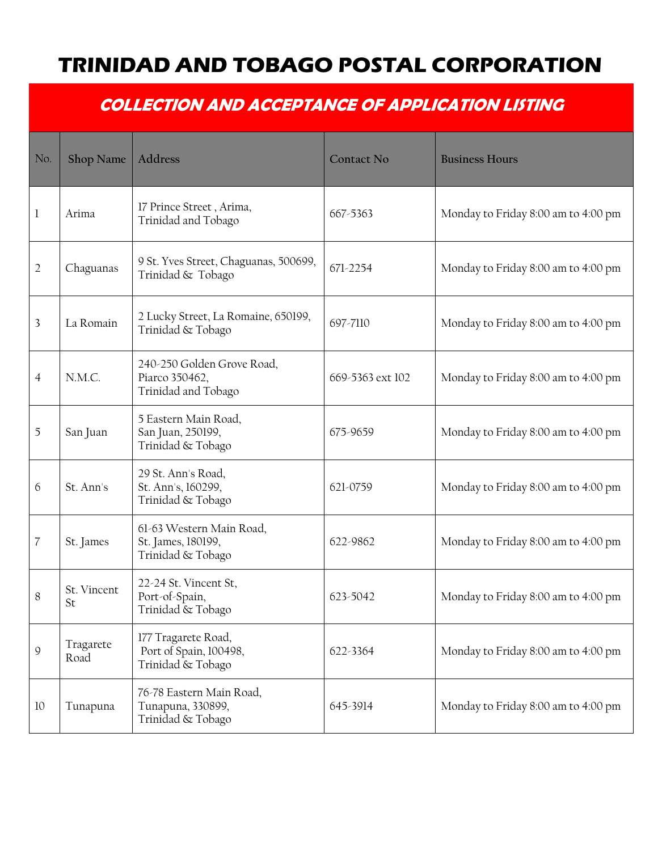## **TRINIDAD AND TOBAGO POSTAL CORPORATION**

## **COLLECTION AND ACCEPTANCE OF APPLICATION LISTING**

| No.            | Shop Name         | Address                                                             | <b>Contact No</b> | <b>Business Hours</b>               |
|----------------|-------------------|---------------------------------------------------------------------|-------------------|-------------------------------------|
| 1              | Arima             | 17 Prince Street, Arima,<br>Trinidad and Tobago                     | 667-5363          | Monday to Friday 8:00 am to 4:00 pm |
| $\overline{2}$ | Chaguanas         | 9 St. Yves Street, Chaguanas, 500699,<br>Trinidad & Tobago          | 671-2254          | Monday to Friday 8:00 am to 4:00 pm |
| 3              | La Romain         | 2 Lucky Street, La Romaine, 650199,<br>Trinidad & Tobago            | 697-7110          | Monday to Friday 8:00 am to 4:00 pm |
| $\overline{4}$ | N.M.C.            | 240-250 Golden Grove Road,<br>Piarco 350462,<br>Trinidad and Tobago | 669-5363 ext 102  | Monday to Friday 8:00 am to 4:00 pm |
| 5              | San Juan          | 5 Eastern Main Road,<br>San Juan, 250199,<br>Trinidad & Tobago      | 675-9659          | Monday to Friday 8:00 am to 4:00 pm |
| 6              | St. Ann's         | 29 St. Ann's Road,<br>St. Ann's, 160299,<br>Trinidad & Tobago       | 621-0759          | Monday to Friday 8:00 am to 4:00 pm |
| 7              | St. James         | 61-63 Western Main Road,<br>St. James, 180199,<br>Trinidad & Tobago | 622-9862          | Monday to Friday 8:00 am to 4:00 pm |
| 8              | St. Vincent<br>St | 22-24 St. Vincent St,<br>Port-of-Spain,<br>Trinidad & Tobago        | 623-5042          | Monday to Friday 8:00 am to 4:00 pm |
| 9              | Tragarete<br>Road | 177 Tragarete Road,<br>Port of Spain, 100498,<br>Trinidad & Tobago  | 622-3364          | Monday to Friday 8:00 am to 4:00 pm |
| 10             | Tunapuna          | 76-78 Eastern Main Road,<br>Tunapuna, 330899,<br>Trinidad & Tobago  | 645-3914          | Monday to Friday 8:00 am to 4:00 pm |